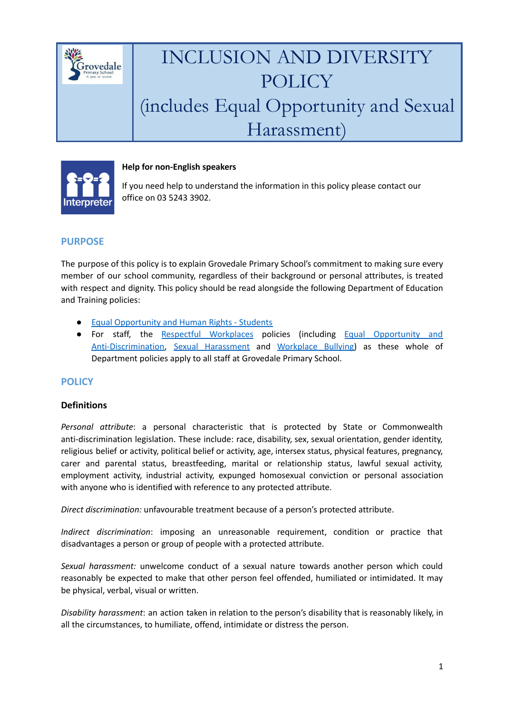

## INCLUSION AND DIVERSITY POLICY (includes Equal Opportunity and Sexual Harassment)



#### **Help for non-English speakers**

If you need help to understand the information in this policy please contact our office on 03 5243 3902.

### **PURPOSE**

The purpose of this policy is to explain Grovedale Primary School's commitment to making sure every member of our school community, regardless of their background or personal attributes, is treated with respect and dignity. This policy should be read alongside the following Department of Education and Training policies:

- Equal [Opportunity](https://www2.education.vic.gov.au/pal/equal-opportunity-human-rights-students/policy) and Human Rights Students
- For staff, the Respectful [Workplaces](https://www2.education.vic.gov.au/pal/respectful-workplaces/overview) policies (including Equal [Opportunity](https://www2.education.vic.gov.au/pal/equal-opportunity/overview) and [Anti-Discrimination](https://www2.education.vic.gov.au/pal/equal-opportunity/overview), Sexual [Harassment](https://www2.education.vic.gov.au/pal/sexual-harassment/overview) and [Workplace](https://www2.education.vic.gov.au/pal/workplace-bullying/policy) Bullying) as these whole of Department policies apply to all staff at Grovedale Primary School.

### **POLICY**

#### **Definitions**

*Personal attribute*: a personal characteristic that is protected by State or Commonwealth anti-discrimination legislation. These include: race, disability, sex, sexual orientation, gender identity, religious belief or activity, political belief or activity, age, intersex status, physical features, pregnancy, carer and parental status, breastfeeding, marital or relationship status, lawful sexual activity, employment activity, industrial activity, expunged homosexual conviction or personal association with anyone who is identified with reference to any protected attribute.

*Direct discrimination:* unfavourable treatment because of a person's protected attribute.

*Indirect discrimination*: imposing an unreasonable requirement, condition or practice that disadvantages a person or group of people with a protected attribute.

*Sexual harassment:* unwelcome conduct of a sexual nature towards another person which could reasonably be expected to make that other person feel offended, humiliated or intimidated. It may be physical, verbal, visual or written.

*Disability harassment*: an action taken in relation to the person's disability that is reasonably likely, in all the circumstances, to humiliate, offend, intimidate or distress the person.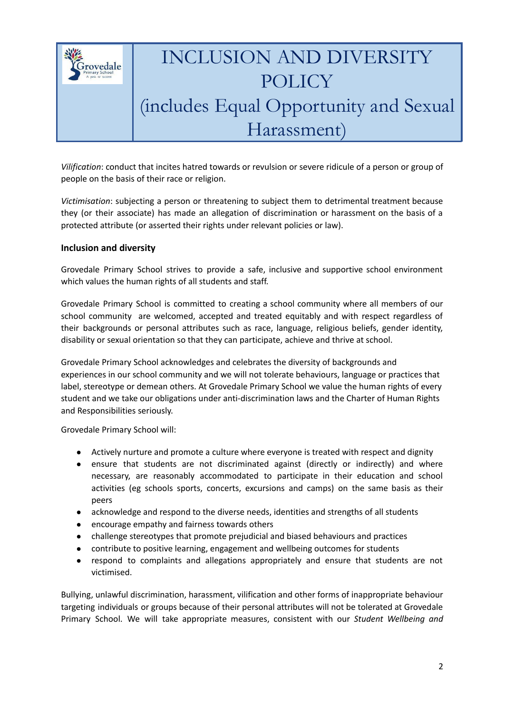

# INCLUSION AND DIVERSITY POLICY (includes Equal Opportunity and Sexual Harassment)

*Vilification*: conduct that incites hatred towards or revulsion or severe ridicule of a person or group of people on the basis of their race or religion.

*Victimisation*: subjecting a person or threatening to subject them to detrimental treatment because they (or their associate) has made an allegation of discrimination or harassment on the basis of a protected attribute (or asserted their rights under relevant policies or law).

#### **Inclusion and diversity**

Grovedale Primary School strives to provide a safe, inclusive and supportive school environment which values the human rights of all students and staff.

Grovedale Primary School is committed to creating a school community where all members of our school community are welcomed, accepted and treated equitably and with respect regardless of their backgrounds or personal attributes such as race, language, religious beliefs, gender identity, disability or sexual orientation so that they can participate, achieve and thrive at school.

Grovedale Primary School acknowledges and celebrates the diversity of backgrounds and experiences in our school community and we will not tolerate behaviours, language or practices that label, stereotype or demean others. At Grovedale Primary School we value the human rights of every student and we take our obligations under anti-discrimination laws and the Charter of Human Rights and Responsibilities seriously.

Grovedale Primary School will:

- Actively nurture and promote a culture where everyone is treated with respect and dignity
- ensure that students are not discriminated against (directly or indirectly) and where necessary, are reasonably accommodated to participate in their education and school activities (eg schools sports, concerts, excursions and camps) on the same basis as their peers
- acknowledge and respond to the diverse needs, identities and strengths of all students
- encourage empathy and fairness towards others
- challenge stereotypes that promote prejudicial and biased behaviours and practices
- contribute to positive learning, engagement and wellbeing outcomes for students
- respond to complaints and allegations appropriately and ensure that students are not victimised.

Bullying, unlawful discrimination, harassment, vilification and other forms of inappropriate behaviour targeting individuals or groups because of their personal attributes will not be tolerated at Grovedale Primary School. We will take appropriate measures, consistent with our *Student Wellbeing and*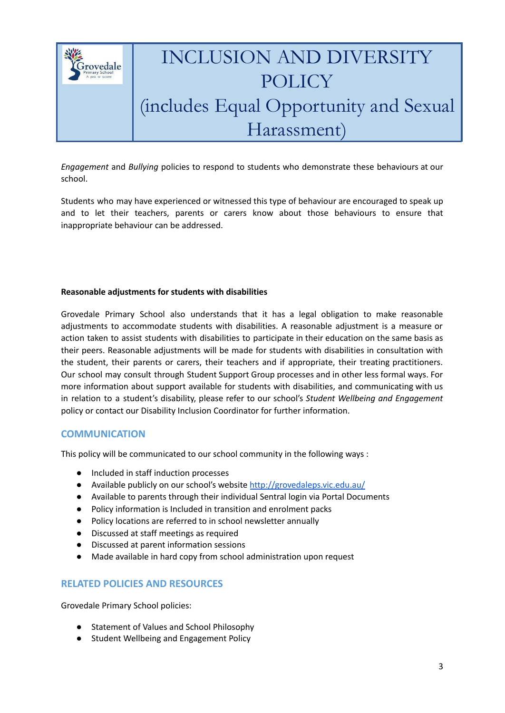

*Engagement* and *Bullying* policies to respond to students who demonstrate these behaviours at our school.

Students who may have experienced or witnessed this type of behaviour are encouraged to speak up and to let their teachers, parents or carers know about those behaviours to ensure that inappropriate behaviour can be addressed.

#### **Reasonable adjustments for students with disabilities**

Grovedale Primary School also understands that it has a legal obligation to make reasonable adjustments to accommodate students with disabilities. A reasonable adjustment is a measure or action taken to assist students with disabilities to participate in their education on the same basis as their peers. Reasonable adjustments will be made for students with disabilities in consultation with the student, their parents or carers, their teachers and if appropriate, their treating practitioners. Our school may consult through Student Support Group processes and in other less formal ways. For more information about support available for students with disabilities, and communicating with us in relation to a student's disability, please refer to our school's *Student Wellbeing and Engagement* policy or contact our Disability Inclusion Coordinator for further information.

#### **COMMUNICATION**

This policy will be communicated to our school community in the following ways :

- Included in staff induction processes
- Available publicly on our school's website <http://grovedaleps.vic.edu.au/>
- Available to parents through their individual Sentral login via Portal Documents
- Policy information is Included in transition and enrolment packs
- Policy locations are referred to in school newsletter annually
- Discussed at staff meetings as required
- Discussed at parent information sessions
- Made available in hard copy from school administration upon request

#### **RELATED POLICIES AND RESOURCES**

Grovedale Primary School policies:

- Statement of Values and School Philosophy
- Student Wellbeing and Engagement Policy